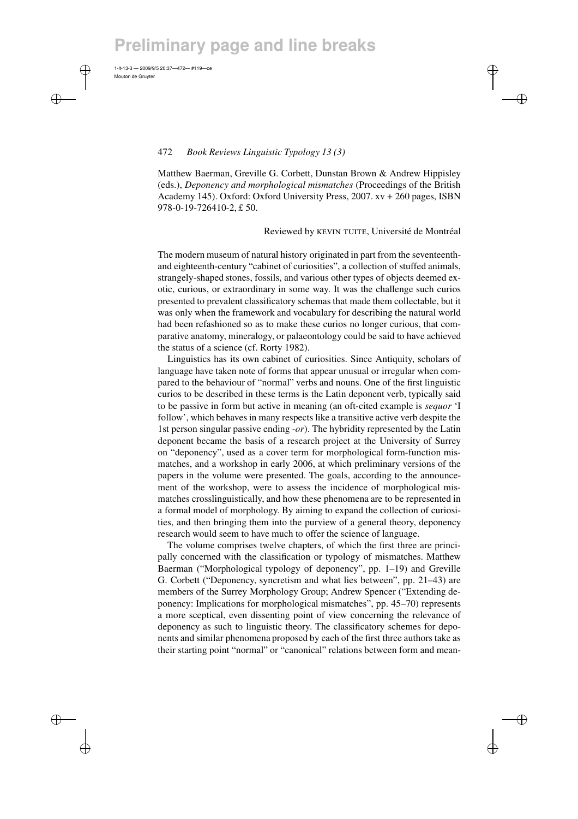

 $\bigoplus$ 

✐

✐

Mouton de Gruyte 1-lt-13-3 — 2009/9/5 20:37—472— #119—ce

### 472 *Book Reviews Linguistic Typology 13 (3)*

Matthew Baerman, Greville G. Corbett, Dunstan Brown & Andrew Hippisley (eds.), *Deponency and morphological mismatches* (Proceedings of the British Academy 145). Oxford: Oxford University Press, 2007. xv + 260 pages, ISBN 978-0-19-726410-2, £ 50.

### Reviewed by KEVIN TUITE, Université de Montréal

✐

✐

✐

✐

The modern museum of natural history originated in part from the seventeenthand eighteenth-century "cabinet of curiosities", a collection of stuffed animals, strangely-shaped stones, fossils, and various other types of objects deemed exotic, curious, or extraordinary in some way. It was the challenge such curios presented to prevalent classificatory schemas that made them collectable, but it was only when the framework and vocabulary for describing the natural world had been refashioned so as to make these curios no longer curious, that comparative anatomy, mineralogy, or palaeontology could be said to have achieved the status of a science (cf. Rorty 1982).

Linguistics has its own cabinet of curiosities. Since Antiquity, scholars of language have taken note of forms that appear unusual or irregular when compared to the behaviour of "normal" verbs and nouns. One of the first linguistic curios to be described in these terms is the Latin deponent verb, typically said to be passive in form but active in meaning (an oft-cited example is *sequor* 'I follow', which behaves in many respects like a transitive active verb despite the 1st person singular passive ending *-or*). The hybridity represented by the Latin deponent became the basis of a research project at the University of Surrey on "deponency", used as a cover term for morphological form-function mismatches, and a workshop in early 2006, at which preliminary versions of the papers in the volume were presented. The goals, according to the announcement of the workshop, were to assess the incidence of morphological mismatches crosslinguistically, and how these phenomena are to be represented in a formal model of morphology. By aiming to expand the collection of curiosities, and then bringing them into the purview of a general theory, deponency research would seem to have much to offer the science of language.

The volume comprises twelve chapters, of which the first three are principally concerned with the classification or typology of mismatches. Matthew Baerman ("Morphological typology of deponency", pp. 1–19) and Greville G. Corbett ("Deponency, syncretism and what lies between", pp. 21–43) are members of the Surrey Morphology Group; Andrew Spencer ("Extending deponency: Implications for morphological mismatches", pp. 45–70) represents a more sceptical, even dissenting point of view concerning the relevance of deponency as such to linguistic theory. The classificatory schemes for deponents and similar phenomena proposed by each of the first three authors take as their starting point "normal" or "canonical" relations between form and mean-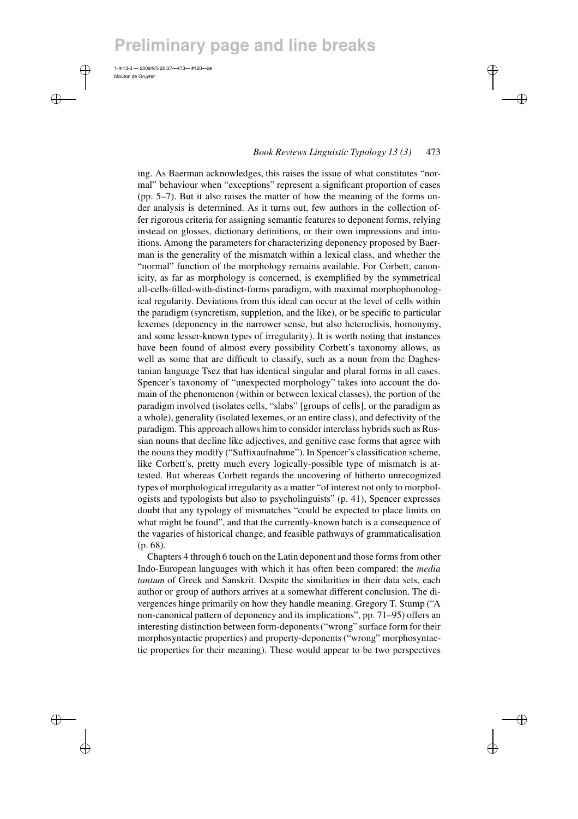

✐

✐

Mouton de Gruyte 1-lt-13-3 — 2009/9/5 20:37—473— #120—ce

### *Book Reviews Linguistic Typology 13 (3)* 473

✐

✐

✐

✐

ing. As Baerman acknowledges, this raises the issue of what constitutes "normal" behaviour when "exceptions" represent a significant proportion of cases (pp. 5–7). But it also raises the matter of how the meaning of the forms under analysis is determined. As it turns out, few authors in the collection offer rigorous criteria for assigning semantic features to deponent forms, relying instead on glosses, dictionary definitions, or their own impressions and intuitions. Among the parameters for characterizing deponency proposed by Baerman is the generality of the mismatch within a lexical class, and whether the "normal" function of the morphology remains available. For Corbett, canonicity, as far as morphology is concerned, is exemplified by the symmetrical all-cells-filled-with-distinct-forms paradigm, with maximal morphophonological regularity. Deviations from this ideal can occur at the level of cells within the paradigm (syncretism, suppletion, and the like), or be specific to particular lexemes (deponency in the narrower sense, but also heteroclisis, homonymy, and some lesser-known types of irregularity). It is worth noting that instances have been found of almost every possibility Corbett's taxonomy allows, as well as some that are difficult to classify, such as a noun from the Daghestanian language Tsez that has identical singular and plural forms in all cases. Spencer's taxonomy of "unexpected morphology" takes into account the domain of the phenomenon (within or between lexical classes), the portion of the paradigm involved (isolates cells, "slabs" [groups of cells], or the paradigm as a whole), generality (isolated lexemes, or an entire class), and defectivity of the paradigm. This approach allows him to consider interclass hybrids such as Russian nouns that decline like adjectives, and genitive case forms that agree with the nouns they modify ("Suffixaufnahme"). In Spencer's classification scheme, like Corbett's, pretty much every logically-possible type of mismatch is attested. But whereas Corbett regards the uncovering of hitherto unrecognized types of morphological irregularity as a matter "of interest not only to morphologists and typologists but also to psycholinguists" (p. 41), Spencer expresses doubt that any typology of mismatches "could be expected to place limits on what might be found", and that the currently-known batch is a consequence of the vagaries of historical change, and feasible pathways of grammaticalisation (p. 68).

Chapters 4 through 6 touch on the Latin deponent and those forms from other Indo-European languages with which it has often been compared: the *media tantum* of Greek and Sanskrit. Despite the similarities in their data sets, each author or group of authors arrives at a somewhat different conclusion. The divergences hinge primarily on how they handle meaning. Gregory T. Stump ("A non-canonical pattern of deponency and its implications", pp. 71–95) offers an interesting distinction between form-deponents ("wrong" surface form for their morphosyntactic properties) and property-deponents ("wrong" morphosyntactic properties for their meaning). These would appear to be two perspectives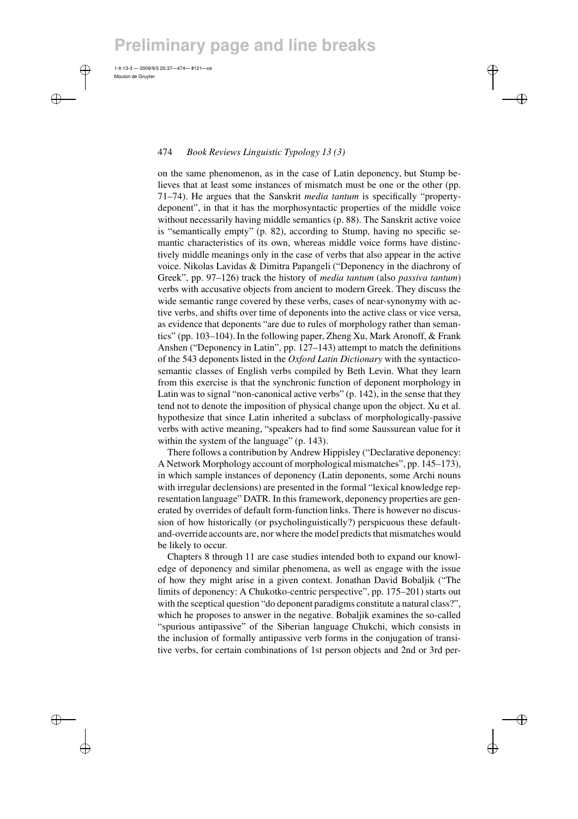✐

Mouton de Gruyte

1-lt-13-3 — 2009/9/5 20:37—474— #121—ce

 $\bigoplus$ 

✐

✐

#### 474 *Book Reviews Linguistic Typology 13 (3)*

on the same phenomenon, as in the case of Latin deponency, but Stump believes that at least some instances of mismatch must be one or the other (pp. 71–74). He argues that the Sanskrit *media tantum* is specifically "propertydeponent", in that it has the morphosyntactic properties of the middle voice without necessarily having middle semantics (p. 88). The Sanskrit active voice is "semantically empty" (p. 82), according to Stump, having no specific semantic characteristics of its own, whereas middle voice forms have distinctively middle meanings only in the case of verbs that also appear in the active voice. Nikolas Lavidas & Dimitra Papangeli ("Deponency in the diachrony of Greek", pp. 97–126) track the history of *media tantum* (also *passiva tantum*) verbs with accusative objects from ancient to modern Greek. They discuss the wide semantic range covered by these verbs, cases of near-synonymy with active verbs, and shifts over time of deponents into the active class or vice versa, as evidence that deponents "are due to rules of morphology rather than semantics" (pp. 103–104). In the following paper, Zheng Xu, Mark Aronoff, & Frank Anshen ("Deponency in Latin", pp. 127–143) attempt to match the definitions of the 543 deponents listed in the *Oxford Latin Dictionary* with the syntacticosemantic classes of English verbs compiled by Beth Levin. What they learn from this exercise is that the synchronic function of deponent morphology in Latin was to signal "non-canonical active verbs" (p. 142), in the sense that they tend not to denote the imposition of physical change upon the object. Xu et al. hypothesize that since Latin inherited a subclass of morphologically-passive verbs with active meaning, "speakers had to find some Saussurean value for it within the system of the language" (p. 143).

✐

✐

✐

✐

There follows a contribution by Andrew Hippisley ("Declarative deponency: A Network Morphology account of morphological mismatches", pp. 145–173), in which sample instances of deponency (Latin deponents, some Archi nouns with irregular declensions) are presented in the formal "lexical knowledge representation language" DATR. In this framework, deponency properties are generated by overrides of default form-function links. There is however no discussion of how historically (or psycholinguistically?) perspicuous these defaultand-override accounts are, nor where the model predicts that mismatches would be likely to occur.

Chapters 8 through 11 are case studies intended both to expand our knowledge of deponency and similar phenomena, as well as engage with the issue of how they might arise in a given context. Jonathan David Bobaljik ("The limits of deponency: A Chukotko-centric perspective", pp. 175–201) starts out with the sceptical question "do deponent paradigms constitute a natural class?", which he proposes to answer in the negative. Bobaljik examines the so-called "spurious antipassive" of the Siberian language Chukchi, which consists in the inclusion of formally antipassive verb forms in the conjugation of transitive verbs, for certain combinations of 1st person objects and 2nd or 3rd per-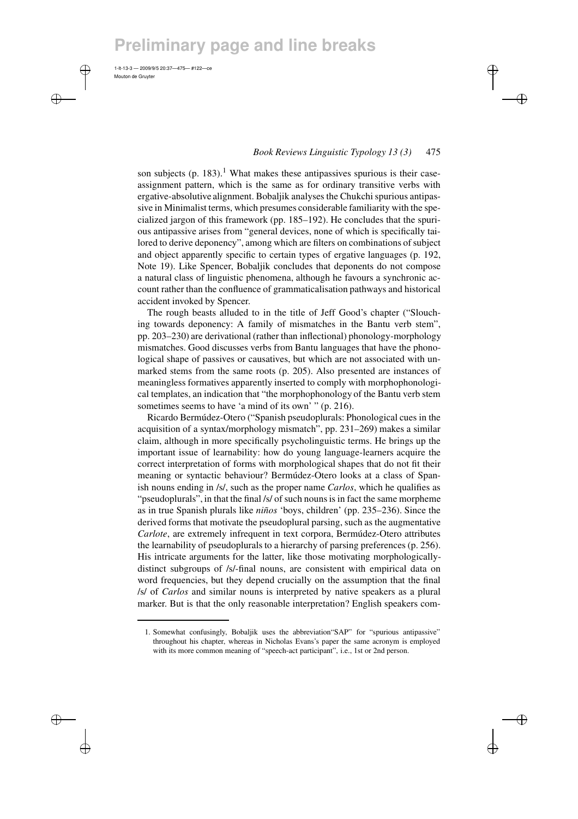

 $\oplus$ 

✐

✐

Mouton de Gruyte 1-lt-13-3 — 2009/9/5 20:37—475— #122—ce

### *Book Reviews Linguistic Typology 13 (3)* 475

✐

✐

✐

✐

son subjects (p. 183).<sup>1</sup> What makes these antipassives spurious is their caseassignment pattern, which is the same as for ordinary transitive verbs with ergative-absolutive alignment. Bobaljik analyses the Chukchi spurious antipassive in Minimalist terms, which presumes considerable familiarity with the specialized jargon of this framework (pp. 185–192). He concludes that the spurious antipassive arises from "general devices, none of which is specifically tailored to derive deponency", among which are filters on combinations of subject and object apparently specific to certain types of ergative languages (p. 192, Note 19). Like Spencer, Bobaljik concludes that deponents do not compose a natural class of linguistic phenomena, although he favours a synchronic account rather than the confluence of grammaticalisation pathways and historical accident invoked by Spencer.

The rough beasts alluded to in the title of Jeff Good's chapter ("Slouching towards deponency: A family of mismatches in the Bantu verb stem", pp. 203–230) are derivational (rather than inflectional) phonology-morphology mismatches. Good discusses verbs from Bantu languages that have the phonological shape of passives or causatives, but which are not associated with unmarked stems from the same roots (p. 205). Also presented are instances of meaningless formatives apparently inserted to comply with morphophonological templates, an indication that "the morphophonology of the Bantu verb stem sometimes seems to have 'a mind of its own' " (p. 216).

Ricardo Bermúdez-Otero ("Spanish pseudoplurals: Phonological cues in the acquisition of a syntax/morphology mismatch", pp. 231–269) makes a similar claim, although in more specifically psycholinguistic terms. He brings up the important issue of learnability: how do young language-learners acquire the correct interpretation of forms with morphological shapes that do not fit their meaning or syntactic behaviour? Bermúdez-Otero looks at a class of Spanish nouns ending in /s/, such as the proper name *Carlos*, which he qualifies as "pseudoplurals", in that the final /s/ of such nouns is in fact the same morpheme as in true Spanish plurals like *niños* 'boys, children' (pp. 235–236). Since the derived forms that motivate the pseudoplural parsing, such as the augmentative *Carlote*, are extremely infrequent in text corpora, Bermúdez-Otero attributes the learnability of pseudoplurals to a hierarchy of parsing preferences (p. 256). His intricate arguments for the latter, like those motivating morphologicallydistinct subgroups of /s/-final nouns, are consistent with empirical data on word frequencies, but they depend crucially on the assumption that the final /s/ of *Carlos* and similar nouns is interpreted by native speakers as a plural marker. But is that the only reasonable interpretation? English speakers com-

<sup>1.</sup> Somewhat confusingly, Bobaljik uses the abbreviation"SAP" for "spurious antipassive" throughout his chapter, whereas in Nicholas Evans's paper the same acronym is employed with its more common meaning of "speech-act participant", i.e., 1st or 2nd person.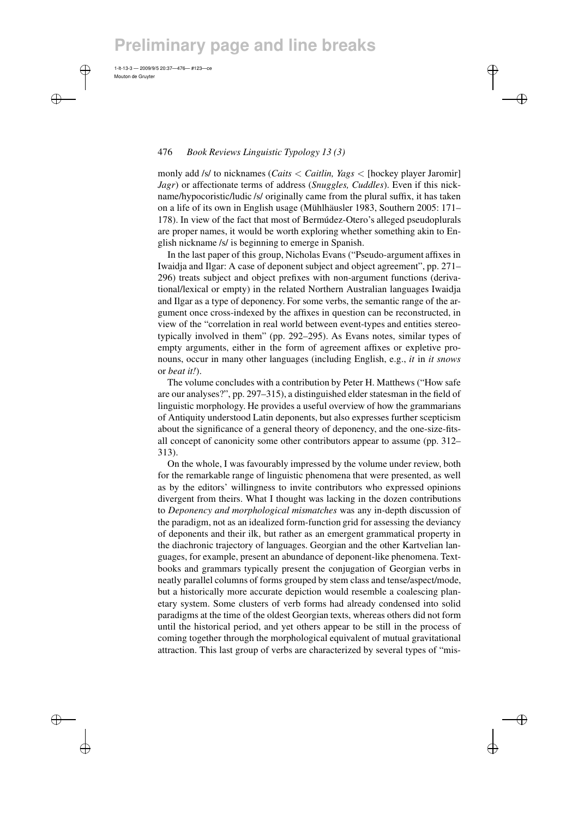✐ Mouton de Gruyte 1-lt-13-3 — 2009/9/5 20:37—476— #123—ce

 $\bigoplus$ 

✐

✐

#### 476 *Book Reviews Linguistic Typology 13 (3)*

monly add /s/ to nicknames (*Caits* < *Caitlin, Yags* < [hockey player Jaromir] *Jagr*) or affectionate terms of address (*Snuggles, Cuddles*). Even if this nickname/hypocoristic/ludic /s/ originally came from the plural suffix, it has taken on a life of its own in English usage (Mühlhäusler 1983, Southern 2005: 171– 178). In view of the fact that most of Bermúdez-Otero's alleged pseudoplurals are proper names, it would be worth exploring whether something akin to English nickname /s/ is beginning to emerge in Spanish.

✐

✐

✐

✐

In the last paper of this group, Nicholas Evans ("Pseudo-argument affixes in Iwaidja and Ilgar: A case of deponent subject and object agreement", pp. 271– 296) treats subject and object prefixes with non-argument functions (derivational/lexical or empty) in the related Northern Australian languages Iwaidja and Ilgar as a type of deponency. For some verbs, the semantic range of the argument once cross-indexed by the affixes in question can be reconstructed, in view of the "correlation in real world between event-types and entities stereotypically involved in them" (pp. 292–295). As Evans notes, similar types of empty arguments, either in the form of agreement affixes or expletive pronouns, occur in many other languages (including English, e.g., *it* in *it snows* or *beat it!*).

The volume concludes with a contribution by Peter H. Matthews ("How safe are our analyses?", pp. 297–315), a distinguished elder statesman in the field of linguistic morphology. He provides a useful overview of how the grammarians of Antiquity understood Latin deponents, but also expresses further scepticism about the significance of a general theory of deponency, and the one-size-fitsall concept of canonicity some other contributors appear to assume (pp. 312– 313).

On the whole, I was favourably impressed by the volume under review, both for the remarkable range of linguistic phenomena that were presented, as well as by the editors' willingness to invite contributors who expressed opinions divergent from theirs. What I thought was lacking in the dozen contributions to *Deponency and morphological mismatches* was any in-depth discussion of the paradigm, not as an idealized form-function grid for assessing the deviancy of deponents and their ilk, but rather as an emergent grammatical property in the diachronic trajectory of languages. Georgian and the other Kartvelian languages, for example, present an abundance of deponent-like phenomena. Textbooks and grammars typically present the conjugation of Georgian verbs in neatly parallel columns of forms grouped by stem class and tense/aspect/mode, but a historically more accurate depiction would resemble a coalescing planetary system. Some clusters of verb forms had already condensed into solid paradigms at the time of the oldest Georgian texts, whereas others did not form until the historical period, and yet others appear to be still in the process of coming together through the morphological equivalent of mutual gravitational attraction. This last group of verbs are characterized by several types of "mis-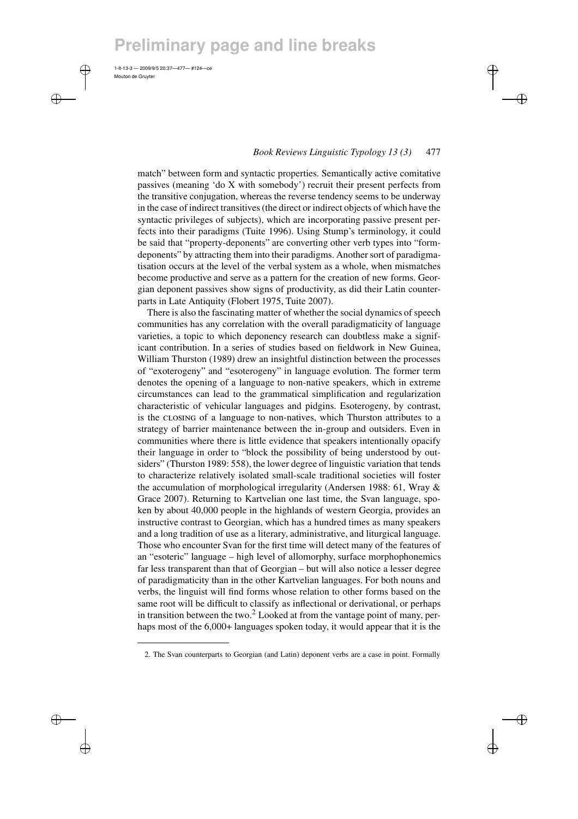

✐

✐

Mouton de Gruyte 1-lt-13-3 — 2009/9/5 20:37—477— #124—ce

### *Book Reviews Linguistic Typology 13 (3)* 477

✐

✐

✐

✐

match" between form and syntactic properties. Semantically active comitative passives (meaning 'do X with somebody') recruit their present perfects from the transitive conjugation, whereas the reverse tendency seems to be underway in the case of indirect transitives (the direct or indirect objects of which have the syntactic privileges of subjects), which are incorporating passive present perfects into their paradigms (Tuite 1996). Using Stump's terminology, it could be said that "property-deponents" are converting other verb types into "formdeponents" by attracting them into their paradigms. Another sort of paradigmatisation occurs at the level of the verbal system as a whole, when mismatches become productive and serve as a pattern for the creation of new forms. Georgian deponent passives show signs of productivity, as did their Latin counterparts in Late Antiquity (Flobert 1975, Tuite 2007).

There is also the fascinating matter of whether the social dynamics of speech communities has any correlation with the overall paradigmaticity of language varieties, a topic to which deponency research can doubtless make a significant contribution. In a series of studies based on fieldwork in New Guinea, William Thurston (1989) drew an insightful distinction between the processes of "exoterogeny" and "esoterogeny" in language evolution. The former term denotes the opening of a language to non-native speakers, which in extreme circumstances can lead to the grammatical simplification and regularization characteristic of vehicular languages and pidgins. Esoterogeny, by contrast, is the closing of a language to non-natives, which Thurston attributes to a strategy of barrier maintenance between the in-group and outsiders. Even in communities where there is little evidence that speakers intentionally opacify their language in order to "block the possibility of being understood by outsiders" (Thurston 1989: 558), the lower degree of linguistic variation that tends to characterize relatively isolated small-scale traditional societies will foster the accumulation of morphological irregularity (Andersen 1988: 61, Wray & Grace 2007). Returning to Kartvelian one last time, the Svan language, spoken by about 40,000 people in the highlands of western Georgia, provides an instructive contrast to Georgian, which has a hundred times as many speakers and a long tradition of use as a literary, administrative, and liturgical language. Those who encounter Svan for the first time will detect many of the features of an "esoteric" language – high level of allomorphy, surface morphophonemics far less transparent than that of Georgian – but will also notice a lesser degree of paradigmaticity than in the other Kartvelian languages. For both nouns and verbs, the linguist will find forms whose relation to other forms based on the same root will be difficult to classify as inflectional or derivational, or perhaps in transition between the two. $2$  Looked at from the vantage point of many, perhaps most of the 6,000+ languages spoken today, it would appear that it is the

<sup>2.</sup> The Svan counterparts to Georgian (and Latin) deponent verbs are a case in point. Formally